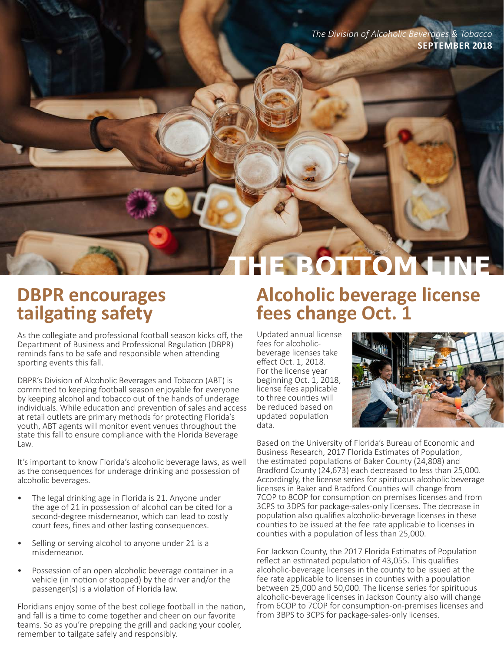*The Division of Alcoholic Beverages & Tobacco* **SEPTEMBER 2018**

### **DBPR encourages tailgating safety**

As the collegiate and professional football season kicks off, the Department of Business and Professional Regulation (DBPR) reminds fans to be safe and responsible when attending sporting events this fall.

DBPR's Division of Alcoholic Beverages and Tobacco (ABT) is committed to keeping football season enjoyable for everyone by keeping alcohol and tobacco out of the hands of underage individuals. While education and prevention of sales and access at retail outlets are primary methods for protecting Florida's youth, ABT agents will monitor event venues throughout the state this fall to ensure compliance with the Florida Beverage Law.

It's important to know Florida's alcoholic beverage laws, as well as the consequences for underage drinking and possession of alcoholic beverages.

- The legal drinking age in Florida is 21. Anyone under the age of 21 in possession of alcohol can be cited for a second-degree misdemeanor, which can lead to costly court fees, fines and other lasting consequences.
- Selling or serving alcohol to anyone under 21 is a misdemeanor.
- Possession of an open alcoholic beverage container in a vehicle (in motion or stopped) by the driver and/or the passenger(s) is a violation of Florida law.

Floridians enjoy some of the best college football in the nation, and fall is a time to come together and cheer on our favorite teams. So as you're prepping the grill and packing your cooler, remember to tailgate safely and responsibly.

# **Alcoholic beverage license fees change Oct. 1**

**E BOTTOM LINE** 

Updated annual license fees for alcoholicbeverage licenses take effect Oct. 1, 2018. For the license year beginning Oct. 1, 2018, license fees applicable to three counties will be reduced based on updated population data.



Based on the University of Florida's Bureau of Economic and Business Research, 2017 Florida Estimates of Population, the estimated populations of Baker County (24,808) and Bradford County (24,673) each decreased to less than 25,000. Accordingly, the license series for spirituous alcoholic beverage licenses in Baker and Bradford Counties will change from 7COP to 8COP for consumption on premises licenses and from 3CPS to 3DPS for package-sales-only licenses. The decrease in population also qualifies alcoholic-beverage licenses in these counties to be issued at the fee rate applicable to licenses in counties with a population of less than 25,000.

For Jackson County, the 2017 Florida Estimates of Population reflect an estimated population of 43,055. This qualifies alcoholic-beverage licenses in the county to be issued at the fee rate applicable to licenses in counties with a population between 25,000 and 50,000. The license series for spirituous alcoholic-beverage licenses in Jackson County also will change from 6COP to 7COP for consumption-on-premises licenses and from 3BPS to 3CPS for package-sales-only licenses.